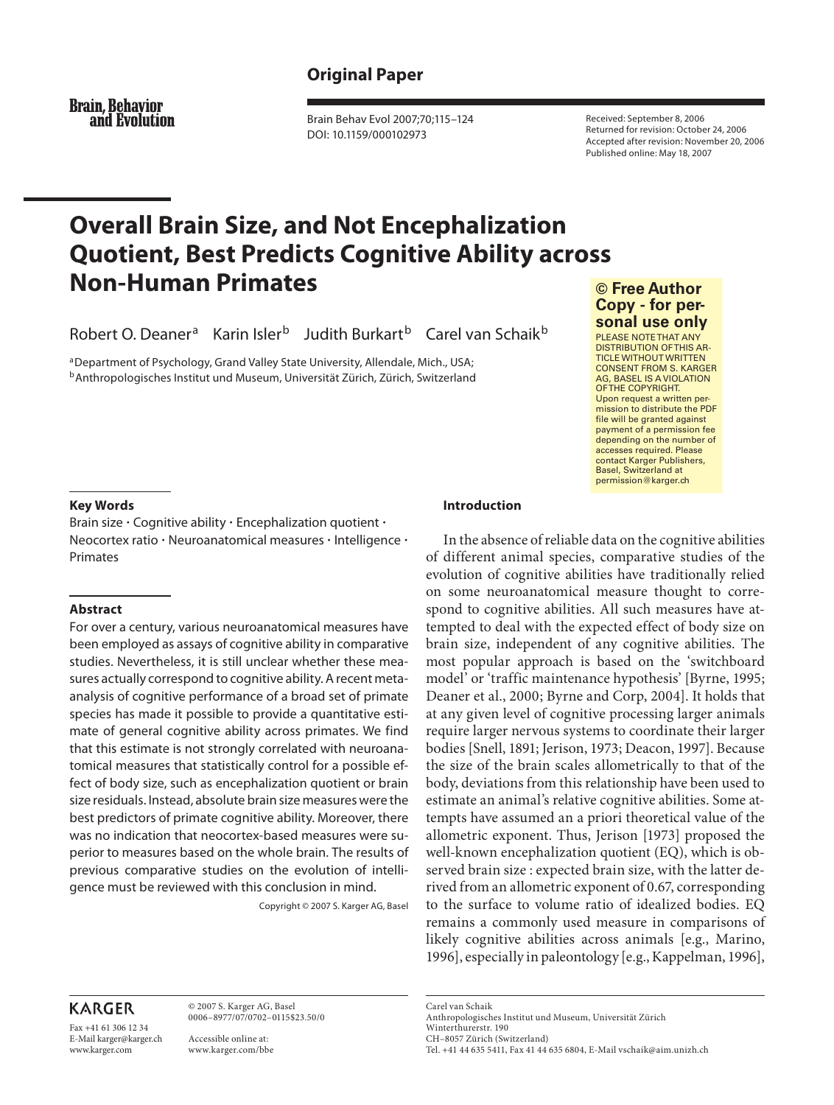# **Original Paper**

**Brain, Behavior** and Evolution

 Brain Behav Evol 2007;70;115–124 DOI: 10.1159/000102973

 Received: September 8, 2006 Returned for revision: October 24, 2006 Accepted after revision: November 20, 2006 Published online: May 18, 2007

# **Overall Brain Size, and Not Encephalization Quotient, Best Predicts Cognitive Ability across Non-Human Primates**

Robert O. Deaner<sup>a</sup> Karin Isler<sup>b</sup> Judith Burkart<sup>b</sup> Carel van Schaik<sup>b</sup>

<sup>a</sup> Department of Psychology, Grand Valley State University, Allendale, Mich., USA; <sup>b</sup> Anthropologisches Institut und Museum, Universität Zürich, Zürich, Switzerland

# **© Free Author Copy - for personal use only**

PLEASE NOTE THAT ANY DISTRIBUTION OF THIS AR-**TICLE WITHOUT WRITTEN** CONSENT FROM S. KARGER AG, BASEL IS A VIOLATION OF THE COPYRIGHT. Upon request a written permission to distribute the PDF file will be granted against payment of a permission fee depending on the number of accesses required. Please contact Karger Publishers, Basel, Switzerland at permission@karger.ch

# **Key Words**

Brain size  $\cdot$  Cognitive ability  $\cdot$  Encephalization quotient  $\cdot$ Neocortex ratio  $\cdot$  Neuroanatomical measures  $\cdot$  Intelligence  $\cdot$ Primates

### **Abstract**

 For over a century, various neuroanatomical measures have been employed as assays of cognitive ability in comparative studies. Nevertheless, it is still unclear whether these measures actually correspond to cognitive ability. A recent metaanalysis of cognitive performance of a broad set of primate species has made it possible to provide a quantitative estimate of general cognitive ability across primates. We find that this estimate is not strongly correlated with neuroanatomical measures that statistically control for a possible effect of body size, such as encephalization quotient or brain size residuals. Instead, absolute brain size measures were the best predictors of primate cognitive ability. Moreover, there was no indication that neocortex-based measures were superior to measures based on the whole brain. The results of previous comparative studies on the evolution of intelligence must be reviewed with this conclusion in mind.

Copyright © 2007 S. Karger AG, Basel

# **Introduction**

 In the absence of reliable data on the cognitive abilities of different animal species, comparative studies of the evolution of cognitive abilities have traditionally relied on some neuroanatomical measure thought to correspond to cognitive abilities. All such measures have attempted to deal with the expected effect of body size on brain size, independent of any cognitive abilities. The most popular approach is based on the 'switchboard model' or 'traffic maintenance hypothesis' [Byrne, 1995; Deaner et al., 2000; Byrne and Corp, 2004]. It holds that at any given level of cognitive processing larger animals require larger nervous systems to coordinate their larger bodies [Snell, 1891; Jerison, 1973; Deacon, 1997]. Because the size of the brain scales allometrically to that of the body, deviations from this relationship have been used to estimate an animal's relative cognitive abilities. Some attempts have assumed an a priori theoretical value of the allometric exponent. Thus, Jerison [1973] proposed the well-known encephalization quotient (EQ), which is observed brain size : expected brain size, with the latter derived from an allometric exponent of 0.67, corresponding to the surface to volume ratio of idealized bodies. EQ remains a commonly used measure in comparisons of likely cognitive abilities across animals [e.g., Marino, 1996], especially in paleontology[e.g., Kappelman, 1996],

# **KARGER**

Fax +41 61 306 12 34 E-Mail karger@karger.ch www.karger.com

 © 2007 S. Karger AG, Basel 0006–8977/07/0702–0115\$23.50/0

 Accessible online at: www.karger.com/bbe  Carel van Schaik Anthropologisches Institut und Museum, Universität Zürich Winterthurerstr. 190 CH–8057 Zürich (Switzerland) Tel. +41 44 635 5411, Fax 41 44 635 6804, E-Mail vschaik@aim.unizh.ch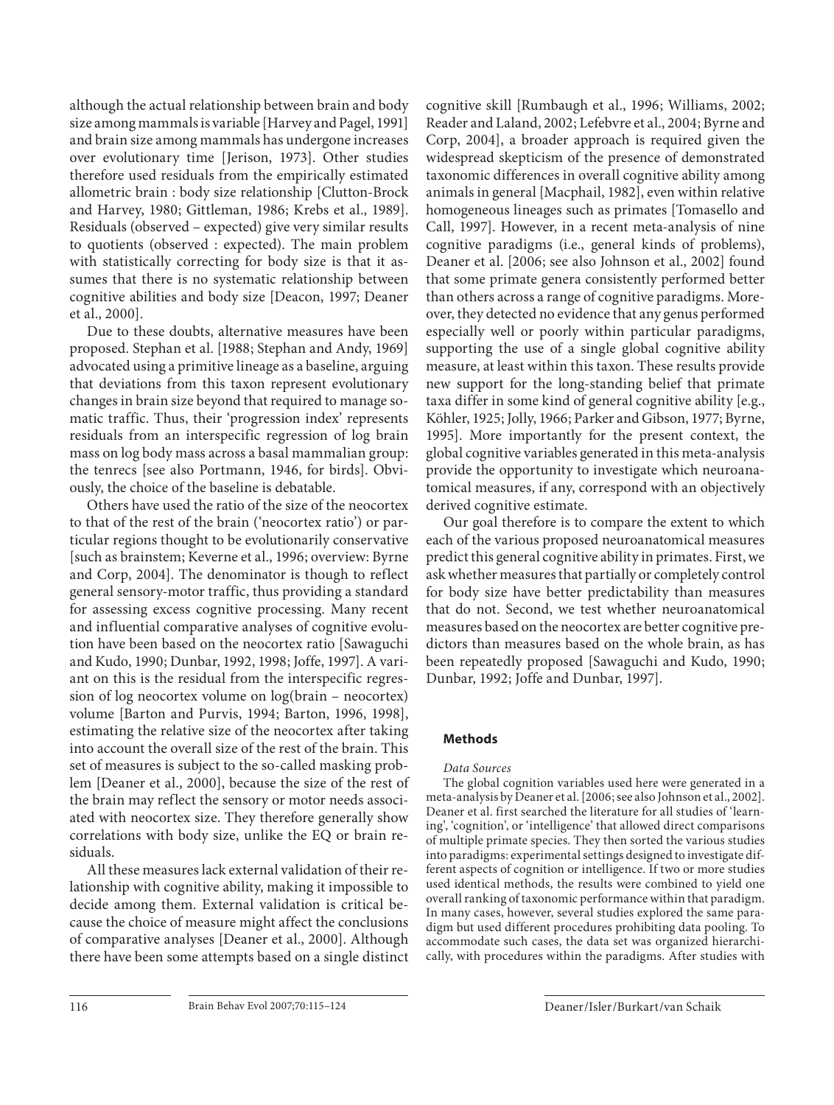although the actual relationship between brain and body size among mammals is variable [Harvey and Pagel, 1991] and brain size among mammals has undergone increases over evolutionary time [Jerison, 1973]. Other studies therefore used residuals from the empirically estimated allometric brain : body size relationship [Clutton-Brock and Harvey, 1980; Gittleman, 1986; Krebs et al., 1989]. Residuals (observed – expected) give very similar results to quotients (observed : expected). The main problem with statistically correcting for body size is that it assumes that there is no systematic relationship between cognitive abilities and body size [Deacon, 1997; Deaner et al., 2000].

 Due to these doubts, alternative measures have been proposed. Stephan et al. [1988; Stephan and Andy, 1969] advocated using a primitive lineage as a baseline, arguing that deviations from this taxon represent evolutionary changes in brain size beyond that required to manage somatic traffic. Thus, their 'progression index' represents residuals from an interspecific regression of log brain mass on log body mass across a basal mammalian group: the tenrecs [see also Portmann, 1946, for birds]. Obviously, the choice of the baseline is debatable.

 Others have used the ratio of the size of the neocortex to that of the rest of the brain ('neocortex ratio') or particular regions thought to be evolutionarily conservative [such as brainstem; Keverne et al., 1996; overview: Byrne and Corp, 2004]. The denominator is though to reflect general sensory-motor traffic, thus providing a standard for assessing excess cognitive processing. Many recent and influential comparative analyses of cognitive evolution have been based on the neocortex ratio [Sawaguchi and Kudo, 1990; Dunbar, 1992, 1998; Joffe, 1997]. A variant on this is the residual from the interspecific regression of log neocortex volume on log(brain – neocortex) volume [Barton and Purvis, 1994; Barton, 1996, 1998], estimating the relative size of the neocortex after taking into account the overall size of the rest of the brain. This set of measures is subject to the so-called masking problem [Deaner et al., 2000], because the size of the rest of the brain may reflect the sensory or motor needs associated with neocortex size. They therefore generally show correlations with body size, unlike the EQ or brain residuals.

 All these measures lack external validation of their relationship with cognitive ability, making it impossible to decide among them. External validation is critical because the choice of measure might affect the conclusions of comparative analyses [Deaner et al., 2000]. Although there have been some attempts based on a single distinct cognitive skill [Rumbaugh et al., 1996; Williams, 2002; Reader and Laland, 2002; Lefebvre et al., 2004; Byrne and Corp, 2004], a broader approach is required given the widespread skepticism of the presence of demonstrated taxonomic differences in overall cognitive ability among animals in general [Macphail, 1982], even within relative homogeneous lineages such as primates [Tomasello and Call, 1997]. However, in a recent meta-analysis of nine cognitive paradigms (i.e., general kinds of problems), Deaner et al. [2006; see also Johnson et al., 2002] found that some primate genera consistently performed better than others across a range of cognitive paradigms. Moreover, they detected no evidence that any genus performed especially well or poorly within particular paradigms, supporting the use of a single global cognitive ability measure, at least within this taxon. These results provide new support for the long-standing belief that primate taxa differ in some kind of general cognitive ability [e.g., Köhler, 1925; Jolly, 1966; Parker and Gibson, 1977; Byrne, 1995]. More importantly for the present context, the global cognitive variables generated in this meta-analysis provide the opportunity to investigate which neuroanatomical measures, if any, correspond with an objectively derived cognitive estimate.

 Our goal therefore is to compare the extent to which each of the various proposed neuroanatomical measures predict this general cognitive ability in primates. First, we ask whether measures that partially or completely control for body size have better predictability than measures that do not. Second, we test whether neuroanatomical measures based on the neocortex are better cognitive predictors than measures based on the whole brain, as has been repeatedly proposed [Sawaguchi and Kudo, 1990; Dunbar, 1992; Joffe and Dunbar, 1997].

# **Methods**

### *Data Sources*

 The global cognition variables used here were generated in a meta-analysis by Deaner et al. [2006; see also Johnson et al., 2002]. Deaner et al. first searched the literature for all studies of 'learning', 'cognition', or 'intelligence' that allowed direct comparisons of multiple primate species. They then sorted the various studies into paradigms: experimental settings designed to investigate different aspects of cognition or intelligence. If two or more studies used identical methods, the results were combined to yield one overall ranking of taxonomic performance within that paradigm. In many cases, however, several studies explored the same paradigm but used different procedures prohibiting data pooling. To accommodate such cases, the data set was organized hierarchically, with procedures within the paradigms. After studies with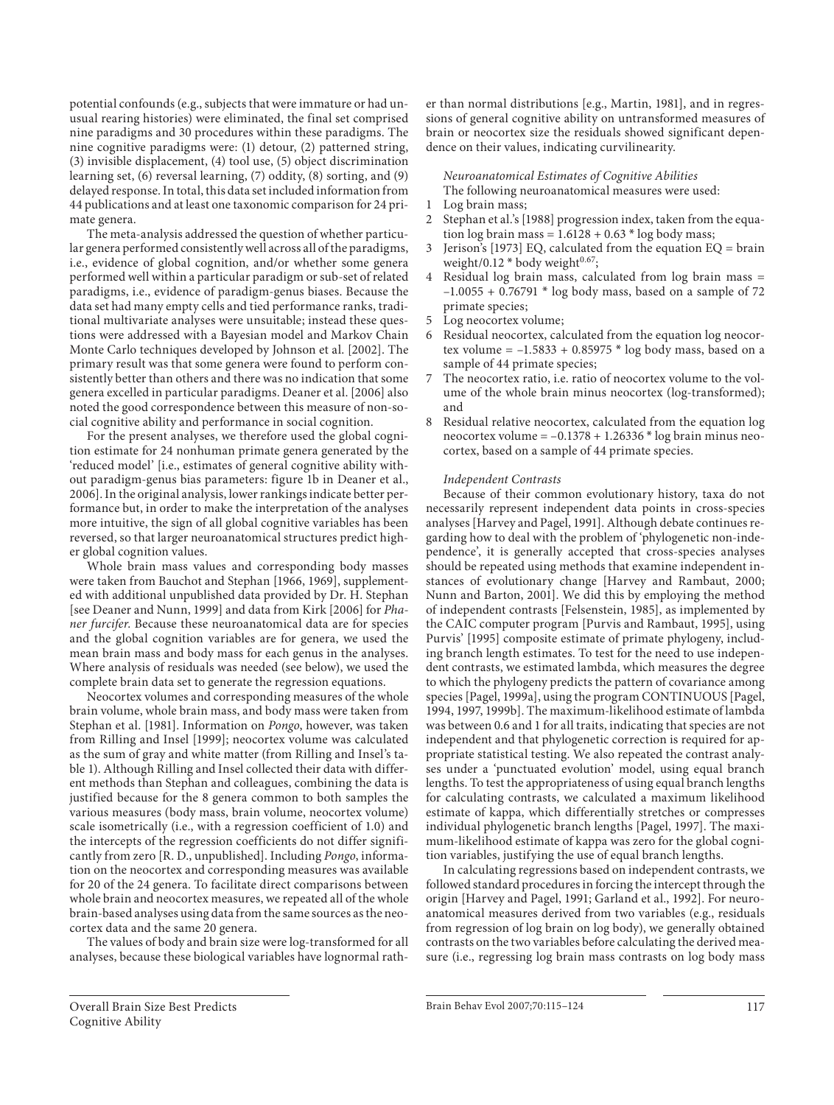potential confounds (e.g., subjects that were immature or had unusual rearing histories) were eliminated, the final set comprised nine paradigms and 30 procedures within these paradigms. The nine cognitive paradigms were: (1) detour, (2) patterned string, (3) invisible displacement, (4) tool use, (5) object discrimination learning set, (6) reversal learning, (7) oddity, (8) sorting, and (9) delayed response. In total, this data set included information from 44 publications and at least one taxonomic comparison for 24 primate genera.

 The meta-analysis addressed the question of whether particular genera performed consistently well across all of the paradigms, i.e., evidence of global cognition, and/or whether some genera performed well within a particular paradigm or sub-set of related paradigms, i.e., evidence of paradigm-genus biases. Because the data set had many empty cells and tied performance ranks, traditional multivariate analyses were unsuitable; instead these questions were addressed with a Bayesian model and Markov Chain Monte Carlo techniques developed by Johnson et al. [2002]. The primary result was that some genera were found to perform consistently better than others and there was no indication that some genera excelled in particular paradigms. Deaner et al. [2006] also noted the good correspondence between this measure of non-social cognitive ability and performance in social cognition.

 For the present analyses, we therefore used the global cognition estimate for 24 nonhuman primate genera generated by the 'reduced model' [i.e., estimates of general cognitive ability without paradigm-genus bias parameters: figure 1b in Deaner et al., 2006]. In the original analysis, lower rankings indicate better performance but, in order to make the interpretation of the analyses more intuitive, the sign of all global cognitive variables has been reversed, so that larger neuroanatomical structures predict higher global cognition values.

 Whole brain mass values and corresponding body masses were taken from Bauchot and Stephan [1966, 1969], supplemented with additional unpublished data provided by Dr. H. Stephan [see Deaner and Nunn, 1999] and data from Kirk [2006] for *Phaner furcifer* . Because these neuroanatomical data are for species and the global cognition variables are for genera, we used the mean brain mass and body mass for each genus in the analyses. Where analysis of residuals was needed (see below), we used the complete brain data set to generate the regression equations.

 Neocortex volumes and corresponding measures of the whole brain volume, whole brain mass, and body mass were taken from Stephan et al. [1981]. Information on *Pongo* , however, was taken from Rilling and Insel [1999]; neocortex volume was calculated as the sum of gray and white matter (from Rilling and Insel's table 1). Although Rilling and Insel collected their data with different methods than Stephan and colleagues, combining the data is justified because for the 8 genera common to both samples the various measures (body mass, brain volume, neocortex volume) scale isometrically (i.e., with a regression coefficient of 1.0) and the intercepts of the regression coefficients do not differ significantly from zero [R. D., unpublished]. Including *Pongo* , information on the neocortex and corresponding measures was available for 20 of the 24 genera. To facilitate direct comparisons between whole brain and neocortex measures, we repeated all of the whole brain-based analyses using data from the same sources as the neocortex data and the same 20 genera.

 The values of body and brain size were log-transformed for all analyses, because these biological variables have lognormal rather than normal distributions [e.g., Martin, 1981], and in regressions of general cognitive ability on untransformed measures of brain or neocortex size the residuals showed significant dependence on their values, indicating curvilinearity.

 *Neuroanatomical Estimates of Cognitive Abilities*  The following neuroanatomical measures were used:

- 1 Log brain mass;
- 2 Stephan et al.'s [1988] progression index, taken from the equation  $\log$  brain mass =  $1.6128 + 0.63 * \log$  body mass;
- 3 Jerison's [1973] EQ, calculated from the equation EQ = brain weight/0.12  $*$  body weight<sup>0.67</sup>;
- 4 Residual log brain mass, calculated from log brain mass =  $-1.0055 + 0.76791 * log body mass, based on a sample of 72$ primate species;
- 5 Log neocortex volume;
- 6 Residual neocortex, calculated from the equation log neocortex volume =  $-1.5833 + 0.85975 * log body mass, based on a$ sample of 44 primate species;
- 7 The neocortex ratio, i.e. ratio of neocortex volume to the volume of the whole brain minus neocortex (log-transformed); and
- 8 Residual relative neocortex, calculated from the equation log neocortex volume  $= -0.1378 + 1.26336 * log brain minus neo$ cortex, based on a sample of 44 primate species.

#### *Independent Contrasts*

 Because of their common evolutionary history, taxa do not necessarily represent independent data points in cross-species analyses [Harvey and Pagel, 1991]. Although debate continues regarding how to deal with the problem of 'phylogenetic non-independence', it is generally accepted that cross-species analyses should be repeated using methods that examine independent instances of evolutionary change [Harvey and Rambaut, 2000; Nunn and Barton, 2001]. We did this by employing the method of independent contrasts [Felsenstein, 1985], as implemented by the CAIC computer program [Purvis and Rambaut, 1995], using Purvis' [1995] composite estimate of primate phylogeny, including branch length estimates. To test for the need to use independent contrasts, we estimated lambda, which measures the degree to which the phylogeny predicts the pattern of covariance among species [Pagel, 1999a], using the program CONTINUOUS [Pagel, 1994, 1997, 1999b]. The maximum-likelihood estimate of lambda was between 0.6 and 1 for all traits, indicating that species are not independent and that phylogenetic correction is required for appropriate statistical testing. We also repeated the contrast analyses under a 'punctuated evolution' model, using equal branch lengths. To test the appropriateness of using equal branch lengths for calculating contrasts, we calculated a maximum likelihood estimate of kappa, which differentially stretches or compresses individual phylogenetic branch lengths [Pagel, 1997]. The maximum-likelihood estimate of kappa was zero for the global cognition variables, justifying the use of equal branch lengths.

 In calculating regressions based on independent contrasts, we followed standard procedures in forcing the intercept through the origin [Harvey and Pagel, 1991; Garland et al., 1992]. For neuroanatomical measures derived from two variables (e.g., residuals from regression of log brain on log body), we generally obtained contrasts on the two variables before calculating the derived measure (i.e., regressing log brain mass contrasts on log body mass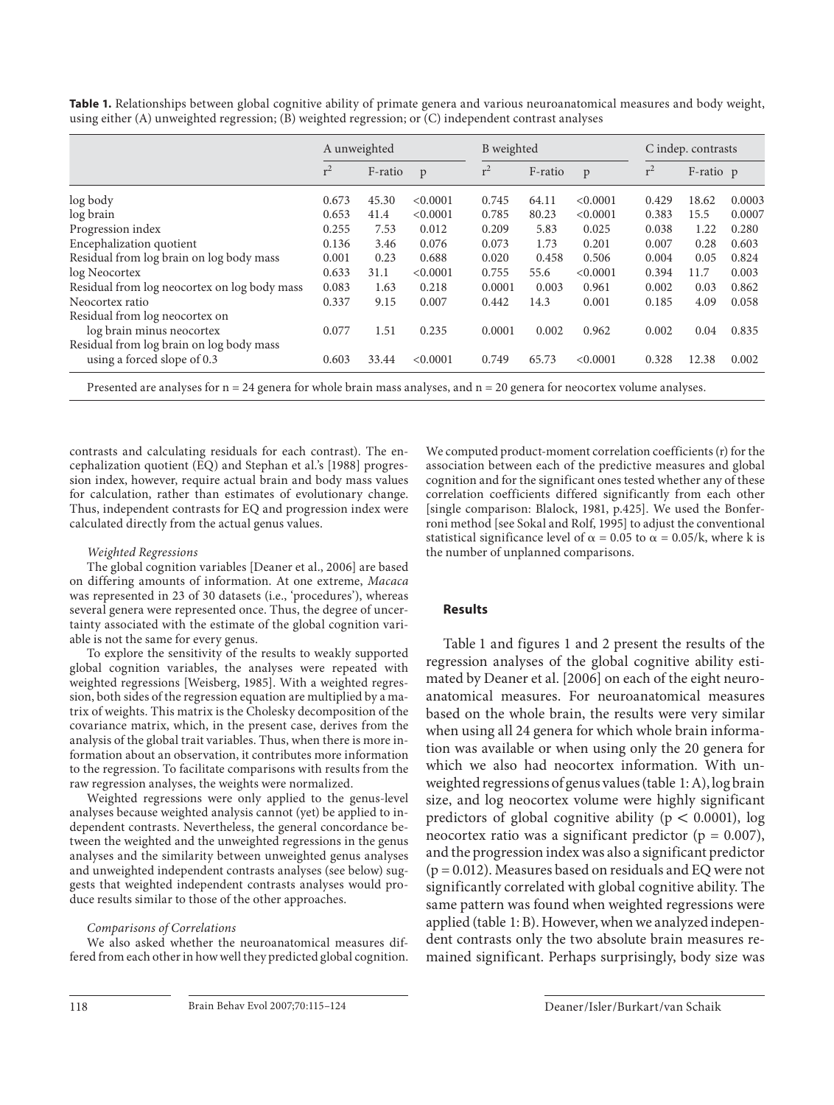|                                              | A unweighted |         |          | B weighted |         |          | C indep. contrasts |           |        |
|----------------------------------------------|--------------|---------|----------|------------|---------|----------|--------------------|-----------|--------|
|                                              | $r^2$        | F-ratio | p        | $r^2$      | F-ratio | p        | $r^2$              | F-ratio p |        |
| log body                                     | 0.673        | 45.30   | < 0.0001 | 0.745      | 64.11   | < 0.0001 | 0.429              | 18.62     | 0.0003 |
| log brain                                    | 0.653        | 41.4    | < 0.0001 | 0.785      | 80.23   | < 0.0001 | 0.383              | 15.5      | 0.0007 |
| Progression index                            | 0.255        | 7.53    | 0.012    | 0.209      | 5.83    | 0.025    | 0.038              | 1.22      | 0.280  |
| Encephalization quotient                     | 0.136        | 3.46    | 0.076    | 0.073      | 1.73    | 0.201    | 0.007              | 0.28      | 0.603  |
| Residual from log brain on log body mass     | 0.001        | 0.23    | 0.688    | 0.020      | 0.458   | 0.506    | 0.004              | 0.05      | 0.824  |
| log Neocortex                                | 0.633        | 31.1    | < 0.0001 | 0.755      | 55.6    | < 0.0001 | 0.394              | 11.7      | 0.003  |
| Residual from log neocortex on log body mass | 0.083        | 1.63    | 0.218    | 0.0001     | 0.003   | 0.961    | 0.002              | 0.03      | 0.862  |
| Neocortex ratio                              | 0.337        | 9.15    | 0.007    | 0.442      | 14.3    | 0.001    | 0.185              | 4.09      | 0.058  |
| Residual from log neocortex on               |              |         |          |            |         |          |                    |           |        |
| log brain minus neocortex                    | 0.077        | 1.51    | 0.235    | 0.0001     | 0.002   | 0.962    | 0.002              | 0.04      | 0.835  |
| Residual from log brain on log body mass     |              |         |          |            |         |          |                    |           |        |
| using a forced slope of 0.3                  | 0.603        | 33.44   | < 0.0001 | 0.749      | 65.73   | < 0.0001 | 0.328              | 12.38     | 0.002  |

**Table 1.** Relationships between global cognitive ability of primate genera and various neuroanatomical measures and body weight, using either (A) unweighted regression; (B) weighted regression; or (C) independent contrast analyses

contrasts and calculating residuals for each contrast). The encephalization quotient (EQ) and Stephan et al.'s [1988] progression index, however, require actual brain and body mass values for calculation, rather than estimates of evolutionary change. Thus, independent contrasts for EQ and progression index were calculated directly from the actual genus values.

### *Weighted Regressions*

 The global cognition variables [Deaner et al., 2006] are based on differing amounts of information. At one extreme, *Macaca*  was represented in 23 of 30 datasets (i.e., 'procedures'), whereas several genera were represented once. Thus, the degree of uncertainty associated with the estimate of the global cognition variable is not the same for every genus.

 To explore the sensitivity of the results to weakly supported global cognition variables, the analyses were repeated with weighted regressions [Weisberg, 1985]. With a weighted regression, both sides of the regression equation are multiplied by a matrix of weights. This matrix is the Cholesky decomposition of the covariance matrix, which, in the present case, derives from the analysis of the global trait variables. Thus, when there is more information about an observation, it contributes more information to the regression. To facilitate comparisons with results from the raw regression analyses, the weights were normalized.

 Weighted regressions were only applied to the genus-level analyses because weighted analysis cannot (yet) be applied to independent contrasts. Nevertheless, the general concordance between the weighted and the unweighted regressions in the genus analyses and the similarity between unweighted genus analyses and unweighted independent contrasts analyses (see below) suggests that weighted independent contrasts analyses would produce results similar to those of the other approaches.

### *Comparisons of Correlations*

 We also asked whether the neuroanatomical measures differed from each other in how well they predicted global cognition. We computed product-moment correlation coefficients (r) for the association between each of the predictive measures and global cognition and for the significant ones tested whether any of these correlation coefficients differed significantly from each other [single comparison: Blalock, 1981, p.425]. We used the Bonferroni method [see Sokal and Rolf, 1995] to adjust the conventional statistical significance level of  $\alpha = 0.05$  to  $\alpha = 0.05/k$ , where k is the number of unplanned comparisons.

### **Results**

 Table 1 and figures 1 and 2 present the results of the regression analyses of the global cognitive ability estimated by Deaner et al. [2006] on each of the eight neuroanatomical measures. For neuroanatomical measures based on the whole brain, the results were very similar when using all 24 genera for which whole brain information was available or when using only the 20 genera for which we also had neocortex information. With unweighted regressions of genus values (table 1: A),  $\log$  brain size, and log neocortex volume were highly significant predictors of global cognitive ability ( $p < 0.0001$ ), log neocortex ratio was a significant predictor ( $p = 0.007$ ), and the progression index was also a significant predictor  $(p = 0.012)$ . Measures based on residuals and EQ were not significantly correlated with global cognitive ability. The same pattern was found when weighted regressions were applied (table 1: B). However, when we analyzed independent contrasts only the two absolute brain measures remained significant. Perhaps surprisingly, body size was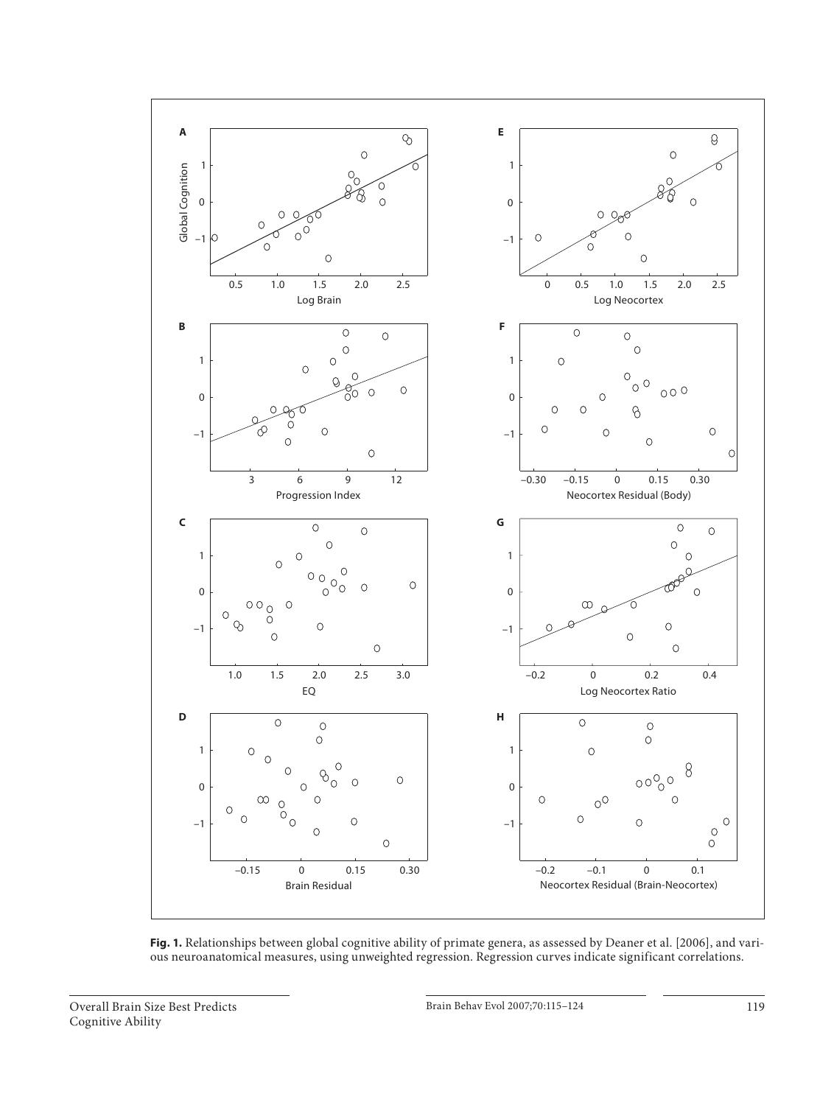

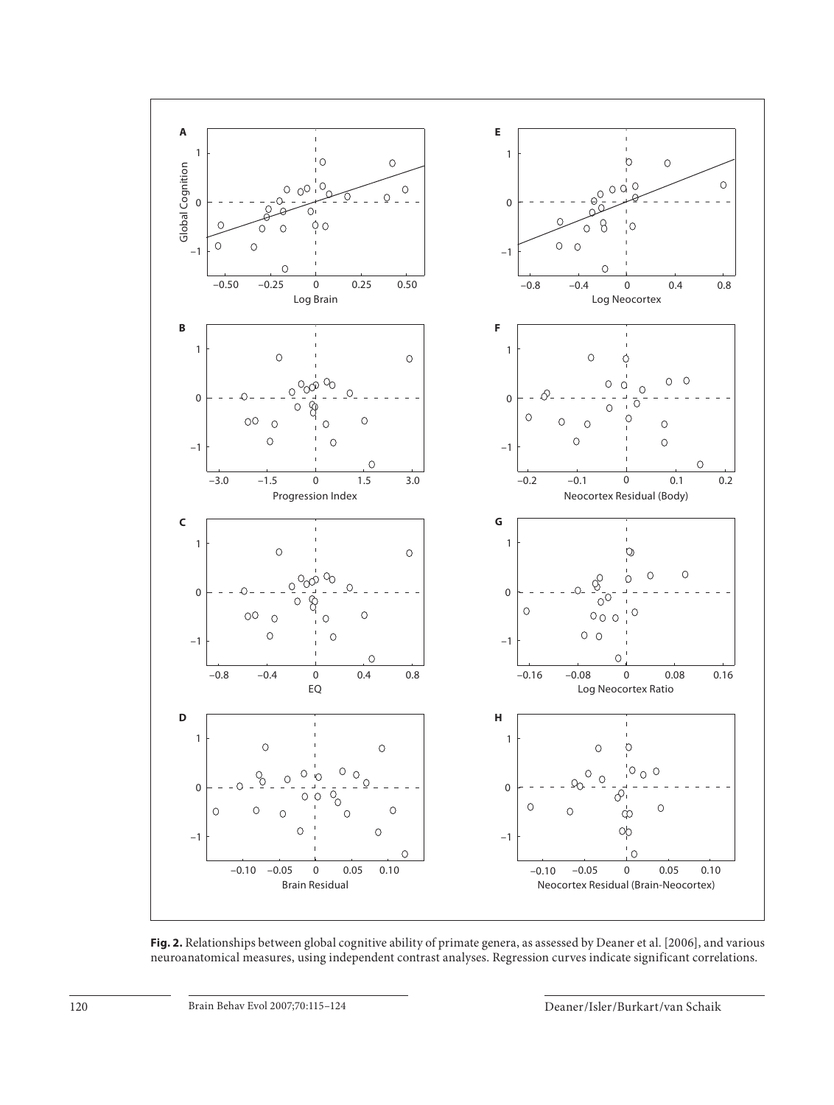

 **Fig. 2.** Relationships between global cognitive ability of primate genera, as assessed by Deaner et al. [2006], and various neuroanatomical measures, using independent contrast analyses. Regression curves indicate significant correlations.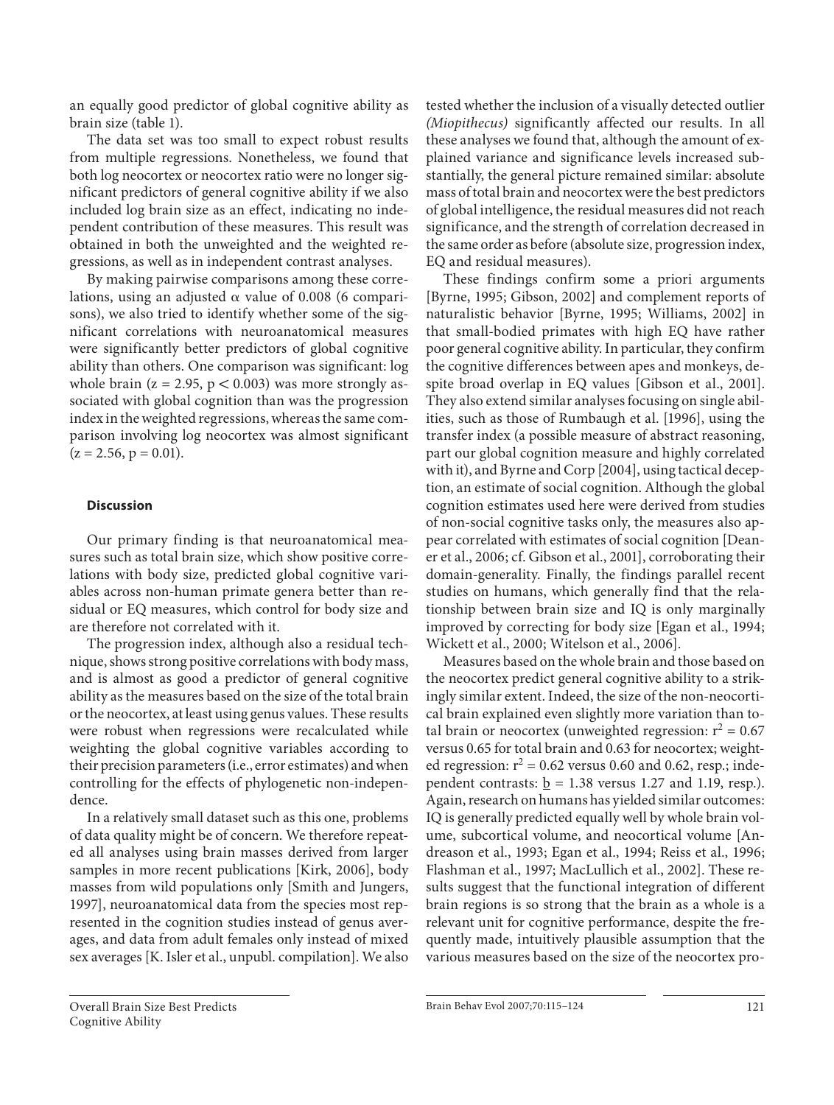an equally good predictor of global cognitive ability as brain size (table 1).

 The data set was too small to expect robust results from multiple regressions. Nonetheless, we found that both log neocortex or neocortex ratio were no longer significant predictors of general cognitive ability if we also included log brain size as an effect, indicating no independent contribution of these measures. This result was obtained in both the unweighted and the weighted regressions, as well as in independent contrast analyses.

 By making pairwise comparisons among these correlations, using an adjusted  $\alpha$  value of 0.008 (6 comparisons), we also tried to identify whether some of the significant correlations with neuroanatomical measures were significantly better predictors of global cognitive ability than others. One comparison was significant: log whole brain ( $z = 2.95$ ,  $p < 0.003$ ) was more strongly associated with global cognition than was the progression index in the weighted regressions, whereas the same comparison involving log neocortex was almost significant  $(z = 2.56, p = 0.01).$ 

# **Discussion**

 Our primary finding is that neuroanatomical measures such as total brain size, which show positive correlations with body size, predicted global cognitive variables across non-human primate genera better than residual or EQ measures, which control for body size and are therefore not correlated with it.

 The progression index, although also a residual technique, shows strong positive correlations with body mass, and is almost as good a predictor of general cognitive ability as the measures based on the size of the total brain or the neocortex, at least using genus values. These results were robust when regressions were recalculated while weighting the global cognitive variables according to their precision parameters (i.e., error estimates) and when controlling for the effects of phylogenetic non-independence.

 In a relatively small dataset such as this one, problems of data quality might be of concern. We therefore repeated all analyses using brain masses derived from larger samples in more recent publications [Kirk, 2006], body masses from wild populations only [Smith and Jungers, 1997], neuroanatomical data from the species most represented in the cognition studies instead of genus averages, and data from adult females only instead of mixed sex averages [K. Isler et al., unpubl. compilation]. We also tested whether the inclusion of a visually detected outlier  *(Miopithecus)* significantly affected our results. In all these analyses we found that, although the amount of explained variance and significance levels increased substantially, the general picture remained similar: absolute mass of total brain and neocortex were the best predictors of global intelligence, the residual measures did not reach significance, and the strength of correlation decreased in the same order as before (absolute size, progression index, EQ and residual measures).

 These findings confirm some a priori arguments [Byrne, 1995; Gibson, 2002] and complement reports of naturalistic behavior [Byrne, 1995; Williams, 2002] in that small-bodied primates with high EQ have rather poor general cognitive ability. In particular, they confirm the cognitive differences between apes and monkeys, despite broad overlap in EQ values [Gibson et al., 2001]. They also extend similar analyses focusing on single abilities, such as those of Rumbaugh et al. [1996], using the transfer index (a possible measure of abstract reasoning, part our global cognition measure and highly correlated with it), and Byrne and Corp [2004], using tactical deception, an estimate of social cognition. Although the global cognition estimates used here were derived from studies of non-social cognitive tasks only, the measures also appear correlated with estimates of social cognition [Deaner et al., 2006; cf. Gibson et al., 2001], corroborating their domain-generality. Finally, the findings parallel recent studies on humans, which generally find that the relationship between brain size and IQ is only marginally improved by correcting for body size [Egan et al., 1994; Wickett et al., 2000; Witelson et al., 2006].

 Measures based on the whole brain and those based on the neocortex predict general cognitive ability to a strikingly similar extent. Indeed, the size of the non-neocortical brain explained even slightly more variation than total brain or neocortex (unweighted regression:  $r^2 = 0.67$ versus 0.65 for total brain and 0.63 for neocortex; weighted regression:  $r^2 = 0.62$  versus 0.60 and 0.62, resp.; independent contrasts:  $\underline{b} = 1.38$  versus 1.27 and 1.19, resp.). Again, research on humans has yielded similar outcomes: IQ is generally predicted equally well by whole brain volume, subcortical volume, and neocortical volume [Andreason et al., 1993; Egan et al., 1994; Reiss et al., 1996; Flashman et al., 1997; MacLullich et al., 2002]. These results suggest that the functional integration of different brain regions is so strong that the brain as a whole is a relevant unit for cognitive performance, despite the frequently made, intuitively plausible assumption that the various measures based on the size of the neocortex pro-

Overall Brain Size Best Predicts Cognitive Ability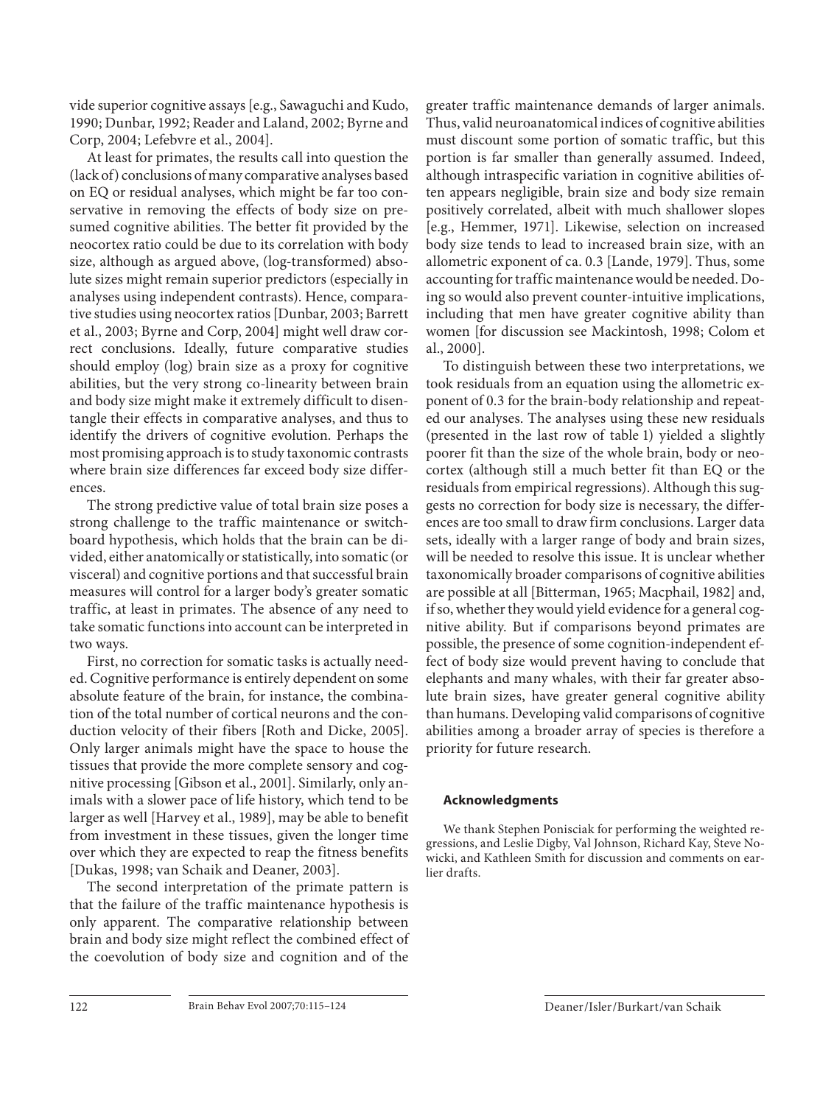vide superior cognitive assays [e.g., Sawaguchi and Kudo, 1990; Dunbar, 1992; Reader and Laland, 2002; Byrne and Corp, 2004; Lefebvre et al., 2004].

 At least for primates, the results call into question the (lack of) conclusions of many comparative analyses based on EQ or residual analyses, which might be far too conservative in removing the effects of body size on presumed cognitive abilities. The better fit provided by the neocortex ratio could be due to its correlation with body size, although as argued above, (log-transformed) absolute sizes might remain superior predictors (especially in analyses using independent contrasts). Hence, comparative studies using neocortex ratios [Dunbar, 2003; Barrett et al., 2003; Byrne and Corp, 2004] might well draw correct conclusions. Ideally, future comparative studies should employ (log) brain size as a proxy for cognitive abilities, but the very strong co-linearity between brain and body size might make it extremely difficult to disentangle their effects in comparative analyses, and thus to identify the drivers of cognitive evolution. Perhaps the most promising approach is to study taxonomic contrasts where brain size differences far exceed body size differences.

 The strong predictive value of total brain size poses a strong challenge to the traffic maintenance or switchboard hypothesis, which holds that the brain can be divided, either anatomically or statistically, into somatic (or visceral) and cognitive portions and that successful brain measures will control for a larger body's greater somatic traffic, at least in primates. The absence of any need to take somatic functions into account can be interpreted in two ways.

 First, no correction for somatic tasks is actually needed. Cognitive performance is entirely dependent on some absolute feature of the brain, for instance, the combination of the total number of cortical neurons and the conduction velocity of their fibers [Roth and Dicke, 2005]. Only larger animals might have the space to house the tissues that provide the more complete sensory and cognitive processing [Gibson et al., 2001]. Similarly, only animals with a slower pace of life history, which tend to be larger as well [Harvey et al., 1989], may be able to benefit from investment in these tissues, given the longer time over which they are expected to reap the fitness benefits [Dukas, 1998; van Schaik and Deaner, 2003].

 The second interpretation of the primate pattern is that the failure of the traffic maintenance hypothesis is only apparent. The comparative relationship between brain and body size might reflect the combined effect of the coevolution of body size and cognition and of the

greater traffic maintenance demands of larger animals. Thus, valid neuroanatomical indices of cognitive abilities must discount some portion of somatic traffic, but this portion is far smaller than generally assumed. Indeed, although intraspecific variation in cognitive abilities often appears negligible, brain size and body size remain positively correlated, albeit with much shallower slopes [e.g., Hemmer, 1971]. Likewise, selection on increased body size tends to lead to increased brain size, with an allometric exponent of ca. 0.3 [Lande, 1979]. Thus, some accounting for traffic maintenance would be needed. Doing so would also prevent counter-intuitive implications, including that men have greater cognitive ability than women [for discussion see Mackintosh, 1998; Colom et al., 2000].

 To distinguish between these two interpretations, we took residuals from an equation using the allometric exponent of 0.3 for the brain-body relationship and repeated our analyses. The analyses using these new residuals (presented in the last row of table 1) yielded a slightly poorer fit than the size of the whole brain, body or neocortex (although still a much better fit than EQ or the residuals from empirical regressions). Although this suggests no correction for body size is necessary, the differences are too small to draw firm conclusions. Larger data sets, ideally with a larger range of body and brain sizes, will be needed to resolve this issue. It is unclear whether taxonomically broader comparisons of cognitive abilities are possible at all [Bitterman, 1965; Macphail, 1982] and, if so, whether they would yield evidence for a general cognitive ability. But if comparisons beyond primates are possible, the presence of some cognition-independent effect of body size would prevent having to conclude that elephants and many whales, with their far greater absolute brain sizes, have greater general cognitive ability than humans. Developing valid comparisons of cognitive abilities among a broader array of species is therefore a priority for future research.

# **Acknowledgments**

 We thank Stephen Ponisciak for performing the weighted regressions, and Leslie Digby, Val Johnson, Richard Kay, Steve Nowicki, and Kathleen Smith for discussion and comments on earlier drafts.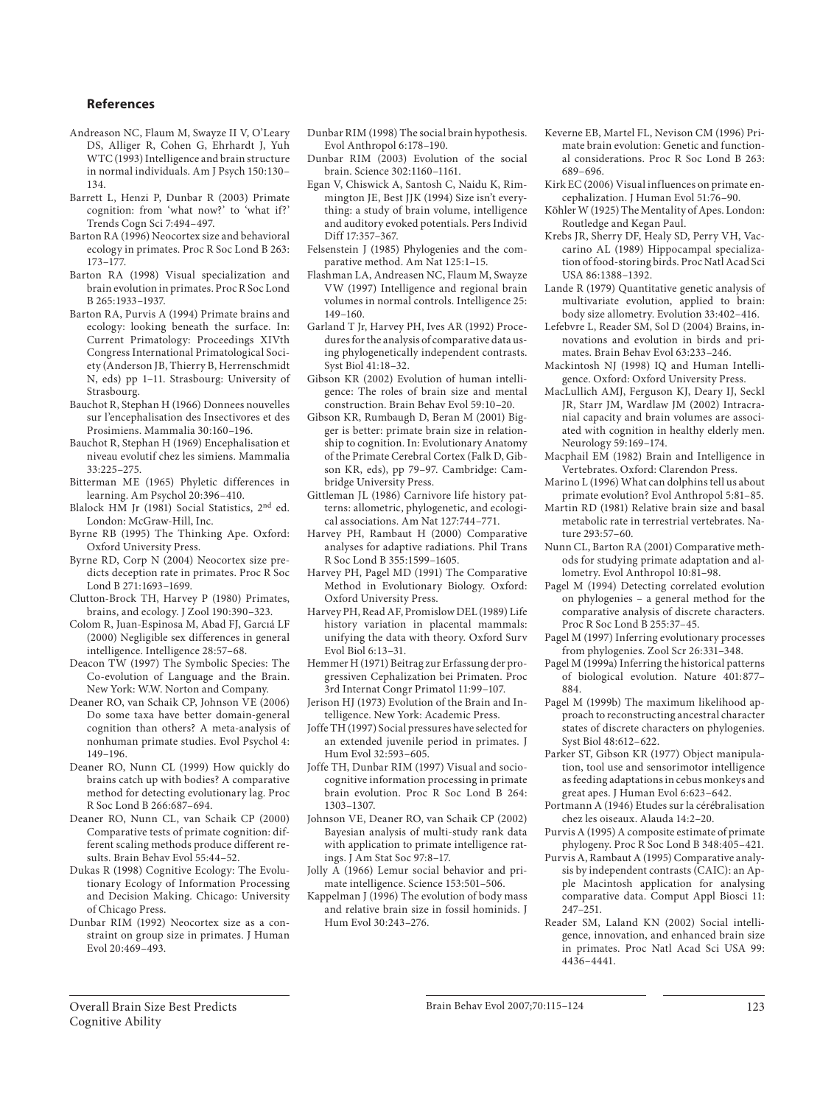### **References**

- Andreason NC, Flaum M, Swayze II V, O'Leary DS, Alliger R, Cohen G, Ehrhardt J, Yuh WTC (1993) Intelligence and brain structure in normal individuals. Am J Psych 150: 130– 134.
- Barrett L, Henzi P, Dunbar R (2003) Primate cognition: from 'what now?' to 'what if?' Trends Cogn Sci 7: 494–497.
- Barton RA (1996) Neocortex size and behavioral ecology in primates. Proc R Soc Lond B 263: 173–177.
- Barton RA (1998) Visual specialization and brain evolution in primates. Proc R Soc Lond B 265: 1933–1937.
- Barton RA, Purvis A (1994) Primate brains and ecology: looking beneath the surface. In: Current Primatology: Proceedings XIVth Congress International Primatological Society (Anderson JB, Thierry B, Herrenschmidt N, eds) pp 1–11. Strasbourg: University of Strasbourg.
- Bauchot R, Stephan H (1966) Donnees nouvelles sur l'encephalisation des Insectivores et des Prosimiens. Mammalia 30: 160–196.
- Bauchot R, Stephan H (1969) Encephalisation et niveau evolutif chez les simiens. Mammalia  $33.225 - 275$
- Bitterman ME (1965) Phyletic differences in learning. Am Psychol 20:396-410.
- Blalock HM Jr (1981) Social Statistics, 2<sup>nd</sup> ed. London: McGraw-Hill, Inc.
- Byrne RB (1995) The Thinking Ape. Oxford: Oxford University Press.
- Byrne RD, Corp N (2004) Neocortex size predicts deception rate in primates. Proc R Soc Lond B 271: 1693–1699.
- Clutton-Brock TH, Harvey P (1980) Primates, brains, and ecology. J Zool 190:390-323.
- Colom R, Juan-Espinosa M, Abad FJ, Garcıá LF (2000) Negligible sex differences in general intelligence. Intelligence 28:57-68.
- Deacon TW (1997) The Symbolic Species: The Co-evolution of Language and the Brain. New York: W.W. Norton and Company.
- Deaner RO, van Schaik CP, Johnson VE (2006) Do some taxa have better domain-general cognition than others? A meta-analysis of nonhuman primate studies. Evol Psychol 4: 149–196.
- Deaner RO, Nunn CL (1999) How quickly do brains catch up with bodies? A comparative method for detecting evolutionary lag. Proc R Soc Lond B 266:687-694.
- Deaner RO, Nunn CL, van Schaik CP (2000) Comparative tests of primate cognition: different scaling methods produce different results. Brain Behav Evol 55:44-52.
- Dukas R (1998) Cognitive Ecology: The Evolutionary Ecology of Information Processing and Decision Making. Chicago: University of Chicago Press.
- Dunbar RIM (1992) Neocortex size as a constraint on group size in primates. J Human Evol 20:469-493.
- Dunbar RIM (1998) The social brain hypothesis. Evol Anthropol 6: 178–190.
- Dunbar RIM (2003) Evolution of the social brain. Science 302: 1160–1161.
- Egan V, Chiswick A, Santosh C, Naidu K, Rimmington JE, Best JJK (1994) Size isn't everything: a study of brain volume, intelligence and auditory evoked potentials. Pers Individ Diff 17:357-367.
- Felsenstein J (1985) Phylogenies and the comparative method. Am Nat 125:1-15.
- Flashman LA, Andreasen NC, Flaum M, Swayze VW (1997) Intelligence and regional brain volumes in normal controls. Intelligence 25: 149–160.
- Garland T Jr, Harvey PH, Ives AR (1992) Procedures for the analysis of comparative data using phylogenetically independent contrasts. Syst Biol 41: 18–32.
- Gibson KR (2002) Evolution of human intelligence: The roles of brain size and mental construction. Brain Behav Evol 59:10-20.
- Gibson KR, Rumbaugh D, Beran M (2001) Bigger is better: primate brain size in relationship to cognition. In: Evolutionary Anatomy of the Primate Cerebral Cortex (Falk D, Gibson KR, eds), pp 79–97. Cambridge: Cambridge University Press.
- Gittleman JL (1986) Carnivore life history patterns: allometric, phylogenetic, and ecological associations. Am Nat 127:744-771.
- Harvey PH, Rambaut H (2000) Comparative analyses for adaptive radiations. Phil Trans R Soc Lond B 355: 1599–1605.
- Harvey PH, Pagel MD (1991) The Comparative Method in Evolutionary Biology. Oxford: Oxford University Press.
- Harvey PH, Read AF, Promislow DEL (1989) Life history variation in placental mammals: unifying the data with theory. Oxford Surv Evol Biol 6: 13–31.
- Hemmer H (1971) Beitrag zur Erfassung der progressiven Cephalization bei Primaten. Proc 3rd Internat Congr Primatol 11:99-107.
- Jerison HJ (1973) Evolution of the Brain and Intelligence. New York: Academic Press.
- Joffe TH (1997) Social pressures have selected for an extended juvenile period in primates. J Hum Evol 32:593-605.
- Joffe TH, Dunbar RIM (1997) Visual and sociocognitive information processing in primate brain evolution. Proc R Soc Lond B 264: 1303–1307.
- Johnson VE, Deaner RO, van Schaik CP (2002) Bayesian analysis of multi-study rank data with application to primate intelligence ratings. J Am Stat Soc 97:8-17.
- Jolly A (1966) Lemur social behavior and primate intelligence. Science 153:501-506.
- Kappelman J (1996) The evolution of body mass and relative brain size in fossil hominids. J Hum Evol 30:243-276.
- Keverne EB, Martel FL, Nevison CM (1996) Primate brain evolution: Genetic and functional considerations. Proc R Soc Lond B 263: 689–696.
- Kirk EC (2006) Visual influences on primate encephalization. J Human Evol 51:76-90.
- Köhler W (1925) The Mentality of Apes. London: Routledge and Kegan Paul.
- Krebs JR, Sherry DF, Healy SD, Perry VH, Vaccarino AL (1989) Hippocampal specialization of food-storing birds. Proc Natl Acad Sci USA 86:1388-1392.
- Lande R (1979) Quantitative genetic analysis of multivariate evolution, applied to brain: body size allometry. Evolution 33:402-416.
- Lefebvre L, Reader SM, Sol D (2004) Brains, innovations and evolution in birds and primates. Brain Behav Evol 63:233-246.
- Mackintosh NJ (1998) IQ and Human Intelligence. Oxford: Oxford University Press.
- MacLullich AMJ, Ferguson KJ, Deary IJ, Seckl JR, Starr JM, Wardlaw JM (2002) Intracranial capacity and brain volumes are associated with cognition in healthy elderly men. Neurology 59: 169–174.
- Macphail EM (1982) Brain and Intelligence in Vertebrates. Oxford: Clarendon Press.
- Marino L (1996) What can dolphins tell us about primate evolution? Evol Anthropol 5:81-85.
- Martin RD (1981) Relative brain size and basal metabolic rate in terrestrial vertebrates. Nature 293:57-60.
- Nunn CL, Barton RA (2001) Comparative methods for studying primate adaptation and allometry. Evol Anthropol 10:81-98.
- Pagel M (1994) Detecting correlated evolution on phylogenies – a general method for the comparative analysis of discrete characters. Proc R Soc Lond B 255:37-45.
- Pagel M (1997) Inferring evolutionary processes from phylogenies. Zool Scr 26: 331–348.
- Pagel M (1999a) Inferring the historical patterns of biological evolution. Nature 401:877-884.
- Pagel M (1999b) The maximum likelihood approach to reconstructing ancestral character states of discrete characters on phylogenies. Syst Biol 48:612-622.
- Parker ST, Gibson KR (1977) Object manipulation, tool use and sensorimotor intelligence as feeding adaptations in cebus monkeys and great apes. J Human Evol 6:623-642.
- Portmann A (1946) Etudes sur la cérébralisation chez les oiseaux. Alauda 14:2-20.
- Purvis A (1995) A composite estimate of primate phylogeny. Proc R Soc Lond B 348:405-421.
- Purvis A, Rambaut A (1995) Comparative analysis by independent contrasts (CAIC): an Apple Macintosh application for analysing comparative data. Comput Appl Biosci 11: 247–251.
- Reader SM, Laland KN (2002) Social intelligence, innovation, and enhanced brain size in primates. Proc Natl Acad Sci USA 99: 4436–4441.